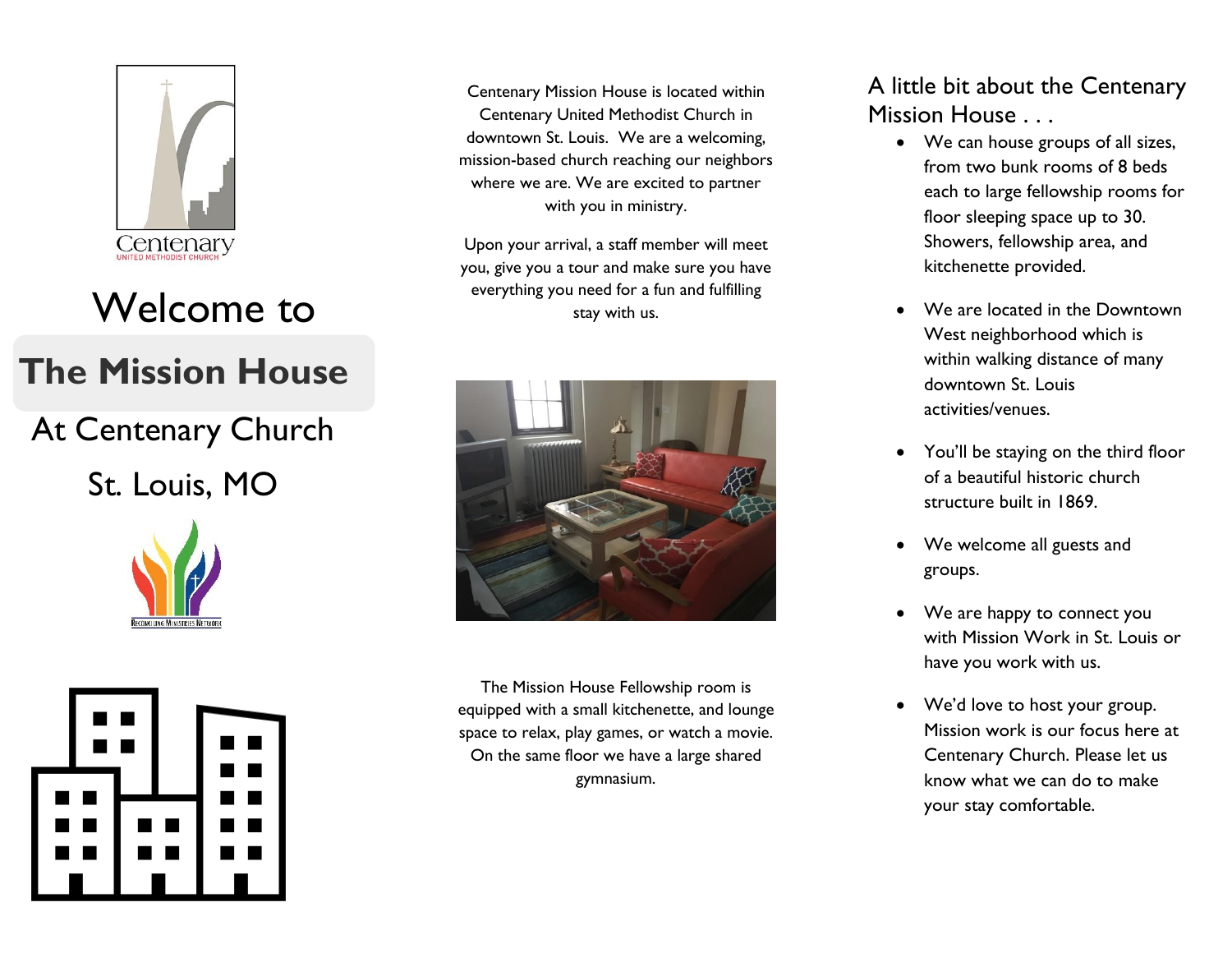

# Welcome to

## **The Mission House**

At Centenary Church St. Louis, MO





Centenary Mission House is located within Centenary United Methodist Church in downtown St. Louis. We are a welcoming, mission-based church reaching our neighbors where we are. We are excited to partner with you in ministry.

Upon your arrival, a staff member will meet you, give you a tour and make sure you have everything you need for a fun and fulfilling stay with us.



The Mission House Fellowship room is equipped with a small kitchenette, and lounge space to relax, play games, or watch a movie. On the same floor we have a large shared gymnasium.

### A little bit about the Centenary Mission House . . .

- We can house groups of all sizes, from two bunk rooms of 8 beds each to large fellowship rooms for floor sleeping space up to 30. Showers, fellowship area, and kitchenette provided.
- We are located in the Downtown West neighborhood which is within walking distance of many downtown St. Louis activities/venues.
- You'll be staying on the third floor of a beautiful historic church structure built in 1869.
- We welcome all guests and groups.
- We are happy to connect you with Mission Work in St. Louis or have you work with us.
- We'd love to host your group. Mission work is our focus here at Centenary Church. Please let us know what we can do to make your stay comfortable.